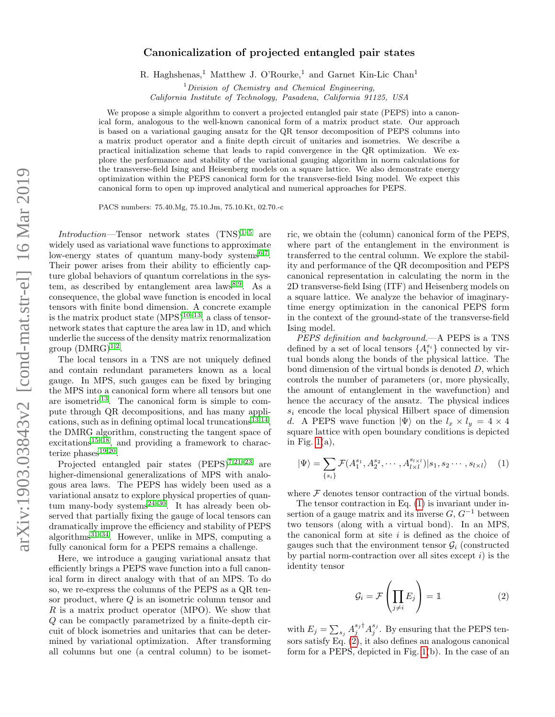# Canonicalization of projected entangled pair states

R. Haghshenas,<sup>1</sup> Matthew J. O'Rourke,<sup>1</sup> and Garnet Kin-Lic Chan<sup>1</sup>

 $1$ Division of Chemistry and Chemical Engineering,

California Institute of Technology, Pasadena, California 91125, USA

We propose a simple algorithm to convert a projected entangled pair state (PEPS) into a canonical form, analogous to the well-known canonical form of a matrix product state. Our approach is based on a variational gauging ansatz for the QR tensor decomposition of PEPS columns into a matrix product operator and a finite depth circuit of unitaries and isometries. We describe a practical initialization scheme that leads to rapid convergence in the QR optimization. We explore the performance and stability of the variational gauging algorithm in norm calculations for the transverse-field Ising and Heisenberg models on a square lattice. We also demonstrate energy optimization within the PEPS canonical form for the transverse-field Ising model. We expect this canonical form to open up improved analytical and numerical approaches for PEPS.

PACS numbers: 75.40.Mg, 75.10.Jm, 75.10.Kt, 02.70.-c

Introduction—Tensor network states  $(TNS)^{1-5}$  $(TNS)^{1-5}$  $(TNS)^{1-5}$  are widely used as variational wave functions to approximate low-energy states of quantum many-body systems<sup>[6,](#page-4-2)[7](#page-4-3)</sup>. Their power arises from their ability to efficiently capture global behaviors of quantum correlations in the sys-tem, as described by entanglement area laws<sup>[8](#page-4-4)[,9](#page-4-5)</sup>. As a consequence, the global wave function is encoded in local tensors with finite bond dimension. A concrete example is the matrix product state  $(MPS)^{10-13}$  $(MPS)^{10-13}$  $(MPS)^{10-13}$ , a class of tensornetwork states that capture the area law in 1D, and which underlie the success of the density matrix renormalization group  $(DMRG)^{1,2}$  $(DMRG)^{1,2}$  $(DMRG)^{1,2}$  $(DMRG)^{1,2}$ .

The local tensors in a TNS are not uniquely defined and contain redundant parameters known as a local gauge. In MPS, such gauges can be fixed by bringing the MPS into a canonical form where all tensors but one are isometric $13$ . The canonical form is simple to compute through QR decompositions, and has many appli-cations, such as in defining optimal local truncations<sup>[13,](#page-4-7)[14](#page-4-9)</sup>, the DMRG algorithm, constructing the tangent space of excitations<sup>[15–](#page-4-10)[18](#page-5-0)</sup>, and providing a framework to characterize  $phases^{19,20}$  $phases^{19,20}$  $phases^{19,20}$  $phases^{19,20}$ .

Projected entangled pair states (PEPS)<sup>[7](#page-4-3)[,21](#page-5-3)-23</sup> are higher-dimensional generalizations of MPS with analogous area laws. The PEPS has widely been used as a variational ansatz to explore physical properties of quantum many-body systems $24-30$  $24-30$ . It has already been observed that partially fixing the gauge of local tensors can dramatically improve the efficiency and stability of PEPS algorithms $^{31-34}$  $^{31-34}$  $^{31-34}$ . However, unlike in MPS, computing a fully canonical form for a PEPS remains a challenge.

Here, we introduce a gauging variational ansatz that efficiently brings a PEPS wave function into a full canonical form in direct analogy with that of an MPS. To do so, we re-express the columns of the PEPS as a QR tensor product, where Q is an isometric column tensor and R is a matrix product operator (MPO). We show that Q can be compactly parametrized by a finite-depth circuit of block isometries and unitaries that can be determined by variational optimization. After transforming all columns but one (a central column) to be isometric, we obtain the (column) canonical form of the PEPS, where part of the entanglement in the environment is transferred to the central column. We explore the stability and performance of the QR decomposition and PEPS canonical representation in calculating the norm in the 2D transverse-field Ising (ITF) and Heisenberg models on a square lattice. We analyze the behavior of imaginarytime energy optimization in the canonical PEPS form in the context of the ground-state of the transverse-field Ising model.

PEPS definition and background.—A PEPS is a TNS defined by a set of local tensors  $\{A_i^{s_i}\}$  connected by virtual bonds along the bonds of the physical lattice. The bond dimension of the virtual bonds is denoted  $D$ , which controls the number of parameters (or, more physically, the amount of entanglement in the wavefunction) and hence the accuracy of the ansatz. The physical indices  $s_i$  encode the local physical Hilbert space of dimension d. A PEPS wave function  $|\Psi\rangle$  on the  $l_x \times l_y = 4 \times 4$ square lattice with open boundary conditions is depicted in Fig.  $1(a)$ ,

$$
|\Psi\rangle = \sum_{\{s_i\}} \mathcal{F}(A_1^{s_1}, A_2^{s_2}, \cdots, A_{l \times l}^{s_{l \times l}})|s_1, s_2 \cdots, s_{l \times l}\rangle \quad (1)
$$

where  ${\mathcal F}$  denotes tensor contraction of the virtual bonds.

The tensor contraction in Eq. [\(1\)](#page-0-0) is invariant under insertion of a gauge matrix and its inverse  $G, G^{-1}$  between two tensors (along with a virtual bond). In an MPS, the canonical form at site  $i$  is defined as the choice of gauges such that the environment tensor  $\mathcal{G}_i$  (constructed by partial norm-contraction over all sites except  $i$ ) is the identity tensor

<span id="page-0-1"></span><span id="page-0-0"></span>
$$
\mathcal{G}_i = \mathcal{F}\left(\prod_{j \neq i} E_j\right) = \mathbb{1}
$$
 (2)

with  $E_j = \sum_{s_j} A_j^{s_j \dagger} A_j^{s_j}$ . By ensuring that the PEPS tensors satisfy Eq. [\(2\)](#page-0-1), it also defines an analogous canonical form for a PEPS, depicted in Fig. [1\(](#page-1-0)b). In the case of an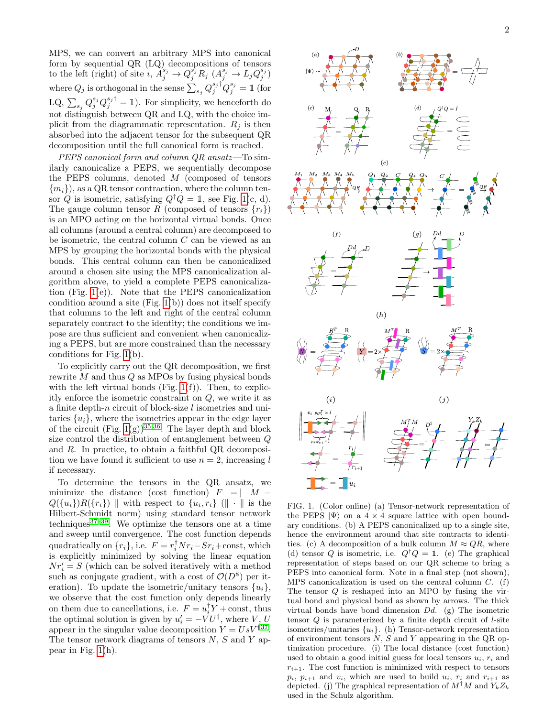MPS, we can convert an arbitrary MPS into canonical form by sequential QR (LQ) decompositions of tensors to the left (right) of site  $i$ ,  $\vec{A}_j^{s_j} \rightarrow Q_j^{s_j} R_j$   $(A_j^{s_j} \rightarrow L_j Q_j^{s_j})$ where  $Q_j$  is orthogonal in the sense  $\sum_{s_j} Q_j^{s_j \dagger} Q_j^{s_j} = \mathbbm{1}$  (for LQ,  $\sum_{s_j} Q_j^{s_j} Q_j^{s_j \dagger} = \mathbb{I}$ ). For simplicity, we henceforth do not distinguish between QR and LQ, with the choice implicit from the diagrammatic representation.  $R_i$  is then absorbed into the adjacent tensor for the subsequent QR decomposition until the full canonical form is reached.

PEPS canonical form and column QR ansatz—To similarly canonicalize a PEPS, we sequentially decompose the PEPS columns, denoted M (composed of tensors  ${m_i}$ , as a QR tensor contraction, where the column tensor Q is isometric, satisfying  $Q^{\dagger}Q = \mathbb{1}$ , see Fig. [1\(](#page-1-0)c, d). The gauge column tensor R (composed of tensors  $\{r_i\}$ ) is an MPO acting on the horizontal virtual bonds. Once all columns (around a central column) are decomposed to be isometric, the central column C can be viewed as an MPS by grouping the horizontal bonds with the physical bonds. This central column can then be canonicalized around a chosen site using the MPS canonicalization algorithm above, to yield a complete PEPS canonicalization (Fig. [1\(](#page-1-0)e)). Note that the PEPS canonicalization condition around a site  $(Fig. 1(b))$  $(Fig. 1(b))$  $(Fig. 1(b))$  does not itself specify that columns to the left and right of the central column separately contract to the identity; the conditions we impose are thus sufficient and convenient when canonicalizing a PEPS, but are more constrained than the necessary conditions for Fig. [1\(](#page-1-0)b).

To explicitly carry out the QR decomposition, we first rewrite  $M$  and thus  $Q$  as MPOs by fusing physical bonds with the left virtual bonds (Fig.  $1(f)$ ). Then, to explicitly enforce the isometric constraint on Q, we write it as a finite depth-n circuit of block-size  $l$  isometries and unitaries  $\{u_i\}$ , where the isometries appear in the edge layer of the circuit (Fig.  $1(g)$ )<sup>[35,](#page-5-9)[36](#page-5-10)</sup>. The layer depth and block size control the distribution of entanglement between Q and R. In practice, to obtain a faithful QR decomposition we have found it sufficient to use  $n = 2$ , increasing l if necessary.

To determine the tensors in the QR ansatz, we minimize the distance (cost function)  $F = ||M Q({u_i})R({r_i})$  with respect to  ${u_i,r_i}$  ( $\|\cdot\|$  is the Hilbert-Schmidt norm) using standard tensor network techniques $37-39$  $37-39$ . We optimize the tensors one at a time and sweep until convergence. The cost function depends quadratically on  $\{r_i\}$ , i.e.  $F = r_i^{\dagger} N r_i - S r_i + \text{const}$ , which is explicitly minimized by solving the linear equation  $Nr'_i = S$  (which can be solved iteratively with a method such as conjugate gradient, with a cost of  $\mathcal{O}(D^8)$  per iteration). To update the isometric/unitary tensors  $\{u_i\}$ , we observe that the cost function only depends linearly on them due to cancellations, i.e.  $F = u_i^{\dagger} Y + \text{const}$ , thus the optimal solution is given by  $u'_{i} = -V U^{\dagger}$ , where  $V, U$ appear in the singular value decomposition  $Y = UsV^{\dagger 37}$  $Y = UsV^{\dagger 37}$  $Y = UsV^{\dagger 37}$ . The tensor network diagrams of tensors  $N$ ,  $S$  and  $Y$  appear in Fig. [1\(](#page-1-0)h).



<span id="page-1-0"></span>FIG. 1. (Color online) (a) Tensor-network representation of the PEPS  $|\Psi\rangle$  on a 4 × 4 square lattice with open boundary conditions. (b) A PEPS canonicalized up to a single site, hence the environment around that site contracts to identities. (c) A decomposition of a bulk column  $M \approx QR$ , where (d) tensor Q is isometric, i.e.  $Q^{\dagger}Q = \mathbb{1}$ . (e) The graphical representation of steps based on our QR scheme to bring a PEPS into canonical form. Note in a final step (not shown), MPS canonicalization is used on the central column  $C$ . (f) The tensor Q is reshaped into an MPO by fusing the virtual bond and physical bond as shown by arrows. The thick virtual bonds have bond dimension  $Dd$ . (g) The isometric tensor  $Q$  is parameterized by a finite depth circuit of  $l$ -site isometries/unitaries  $\{u_i\}$ . (h) Tensor-network representation of environment tensors  $N$ ,  $S$  and  $Y$  appearing in the QR optimization procedure. (i) The local distance (cost function) used to obtain a good initial guess for local tensors  $u_i$ ,  $r_i$  and  $r_{i+1}$ . The cost function is minimized with respect to tensors  $p_i$ ,  $p_{i+1}$  and  $v_i$ , which are used to build  $u_i$ ,  $r_i$  and  $r_{i+1}$  as depicted. (j) The graphical representation of  $M^{\dagger}M$  and  $Y_kZ_k$ used in the Schulz algorithm.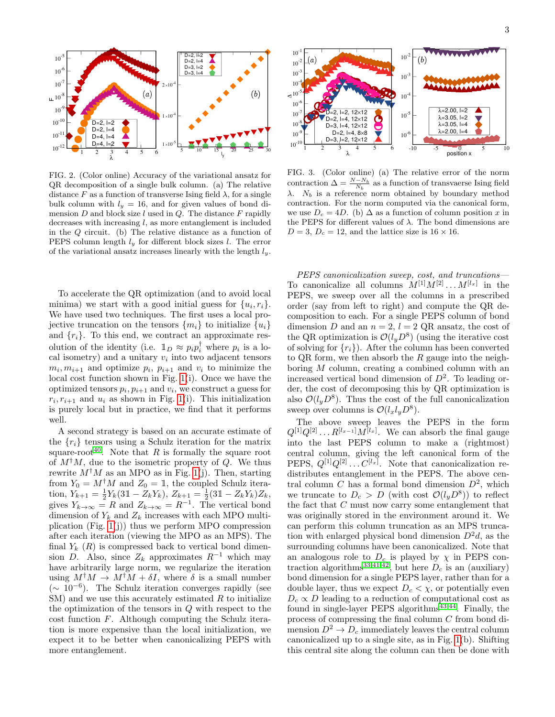

<span id="page-2-0"></span>FIG. 2. (Color online) Accuracy of the variational ansatz for QR decomposition of a single bulk column. (a) The relative distance F as a function of transverse Ising field  $\lambda$ , for a single bulk column with  $l_y = 16$ , and for given values of bond dimension  $D$  and block size  $l$  used in  $Q$ . The distance  $F$  rapidly decreases with increasing  $l$ , as more entanglement is included in the Q circuit. (b) The relative distance as a function of PEPS column length  $l_y$  for different block sizes l. The error of the variational ansatz increases linearly with the length  $l_y$ .

To accelerate the QR optimization (and to avoid local minima) we start with a good initial guess for  $\{u_i, r_i\}$ . We have used two techniques. The first uses a local projective truncation on the tensors  $\{m_i\}$  to initialize  $\{u_i\}$ and  $\{r_i\}$ . To this end, we contract an approximate resolution of the identity (i.e.  $\mathbb{1}_D \approx p_i p_i^{\dagger}$  where  $p_i$  is a local isometry) and a unitary  $v_i$  into two adjacent tensors  $m_i, m_{i+1}$  and optimize  $p_i, p_{i+1}$  and  $v_i$  to minimize the local cost function shown in Fig. [1\(](#page-1-0)i). Once we have the optimized tensors  $p_i, p_{i+1}$  and  $v_i$ , we construct a guess for  $r_i, r_{i+1}$  and  $u_i$  as shown in Fig. [1\(](#page-1-0)i). This initialization is purely local but in practice, we find that it performs well.

A second strategy is based on an accurate estimate of the  $\{r_i\}$  tensors using a Schulz iteration for the matrix square-root<sup>[40](#page-5-13)</sup>. Note that R is formally the square root of  $M^{\dagger}M$ , due to the isometric property of Q. We thus rewrite  $M^{\dagger}M$  as an MPO as in Fig. [1\(](#page-1-0)j). Then, starting from  $Y_0 = M^{\dagger} M$  and  $Z_0 = \mathbb{1}$ , the coupled Schulz iteration,  $Y_{k+1} = \frac{1}{2}Y_k(3\mathbb{1} - Z_kY_k), Z_{k+1} = \frac{1}{2}(3\mathbb{1} - Z_kY_k)Z_k,$ gives  $Y_{k\to\infty} = R$  and  $Z_{k\to\infty} = R^{-1}$ . The vertical bond dimension of  $Y_k$  and  $Z_k$  increases with each MPO multiplication (Fig.  $1(i)$ ) thus we perform MPO compression after each iteration (viewing the MPO as an MPS). The final  $Y_k(R)$  is compressed back to vertical bond dimension D. Also, since  $Z_k$  approximates  $R^{-1}$  which may have arbitrarily large norm, we regularize the iteration using  $M^{\dagger}M \to M^{\dagger}M + \delta I$ , where  $\delta$  is a small number  $($   $\sim$  10<sup>-6</sup>). The Schulz iteration converges rapidly (see  $SM$ ) and we use this accurately estimated R to initialize the optimization of the tensors in Q with respect to the cost function F. Although computing the Schulz iteration is more expensive than the local initialization, we expect it to be better when canonicalizing PEPS with more entanglement.



<span id="page-2-1"></span>FIG. 3. (Color online) (a) The relative error of the norm contraction  $\Delta = \frac{N - N_b}{N_b}$  as a function of transvaerse Ising field  $\lambda$ .  $N_b$  is a reference norm obtained by boundary method contraction. For the norm computed via the canonical form, we use  $D_c = 4D$ . (b)  $\Delta$  as a function of column position x in the PEPS for different values of  $\lambda$ . The bond dimensions are  $D = 3, D_c = 12$ , and the lattice size is  $16 \times 16$ .

PEPS canonicalization sweep, cost, and truncations— To canonicalize all columns  $M^{[1]}M^{[2]} \dots M^{[l_x]}$  in the PEPS, we sweep over all the columns in a prescribed order (say from left to right) and compute the QR decomposition to each. For a single PEPS column of bond dimension D and an  $n = 2$ ,  $l = 2$  QR ansatz, the cost of the QR optimization is  $\mathcal{O}(l_y D^8)$  (using the iterative cost of solving for  $\{r_i\}$ . After the column has been converted to QR form, we then absorb the  $R$  gauge into the neighboring M column, creating a combined column with an increased vertical bond dimension of  $D^2$ . To leading order, the cost of decomposing this by QR optimization is also  $\mathcal{O}(l_y D^8)$ . Thus the cost of the full canonicalization sweep over columns is  $\mathcal{O}(l_x l_y D^8)$ .

The above sweep leaves the PEPS in the form  $Q^{[1]}Q^{[2]} \dots R^{[l_{x-1}]}M^{[l_x]}$ . We can absorb the final gauge into the last PEPS column to make a (rightmost) central column, giving the left canonical form of the PEPS,  $Q^{[1]}Q^{[2]} \dots C^{[l_x]}$ . Note that canonicalization redistributes entanglement in the PEPS. The above central column C has a formal bond dimension  $D^2$ , which we truncate to  $D_c > D$  (with cost  $\mathcal{O}(l_y D^8)$ ) to reflect the fact that  $C$  must now carry some entanglement that was originally stored in the environment around it. We can perform this column truncation as an MPS truncation with enlarged physical bond dimension  $D^2d$ , as the surrounding columns have been canonicalized. Note that an analogous role to  $D_c$  is played by  $\chi$  in PEPS con-traction algorithms<sup>[33,](#page-5-14)[41](#page-5-15)[,42](#page-5-16)</sup>, but here  $D_c$  is an (auxiliary) bond dimension for a single PEPS layer, rather than for a double layer, thus we expect  $D_c < \chi$ , or potentially even  $D_c \propto D$  leading to a reduction of computational cost as found in single-layer PEPS algorithms<sup>[43](#page-5-17)[,44](#page-5-18)</sup>. Finally, the process of compressing the final column C from bond dimension  $D^2 \to D_c$  immediately leaves the central column canonicalized up to a single site, as in Fig. [1\(](#page-1-0)b). Shifting this central site along the column can then be done with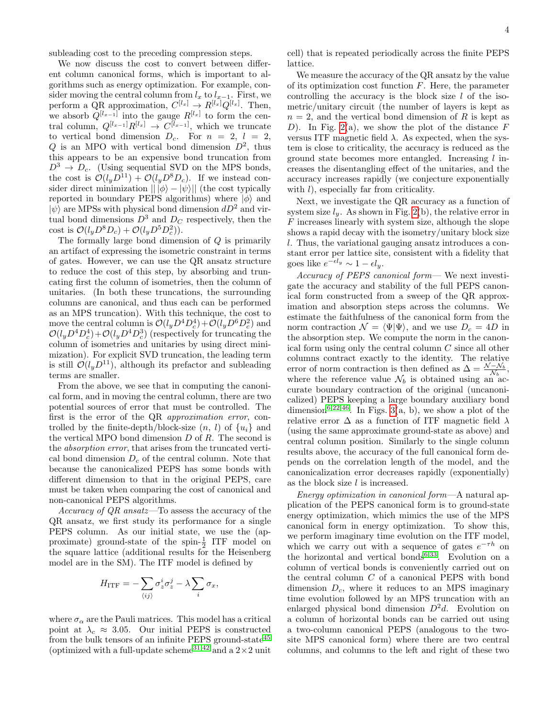subleading cost to the preceding compression steps.

We now discuss the cost to convert between different column canonical forms, which is important to algorithms such as energy optimization. For example, consider moving the central column from  $l_x$  to  $l_{x-1}$ . First, we perform a QR approximation,  $C^{[l_x]} \to R^{[l_x]} Q^{[l_x]}$ . Then, we absorb  $Q^{[l_{x-1}]}$  into the gauge  $R^{[l_x]}$  to form the central column,  $Q^{[l_{x-1}]}R^{[l_x]} \rightarrow C^{[l_{x-1}]}$ , which we truncate to vertical bond dimension  $D_c$ . For  $n = 2$ ,  $l = 2$ , Q is an MPO with vertical bond dimension  $D^2$ , thus this appears to be an expensive bond truncation from  $D^3 \rightarrow D_c$ . (Using sequential SVD on the MPS bonds, the cost is  $\mathcal{O}(l_u \tilde{D}^{11}) + \mathcal{O}(l_u D^8 D_c)$ . If we instead consider direct minimization  $|| \overline{|\phi} \rangle - | \psi \rangle ||$  (the cost typically reported in boundary PEPS algorithms) where  $|\phi\rangle$  and  $|\psi\rangle$  are MPSs with physical bond dimension  $dD^2$  and virtual bond dimensions  $D^3$  and  $D_C$  respectively, then the cost is  $\mathcal{O}(l_y D^8 D_c) + \mathcal{O}(l_y D^5 D_c^2)$ .

The formally large bond dimension of Q is primarily an artifact of expressing the isometric constraint in terms of gates. However, we can use the QR ansatz structure to reduce the cost of this step, by absorbing and truncating first the column of isometries, then the column of unitaries. (In both these truncations, the surrounding columns are canonical, and thus each can be performed as an MPS truncation). With this technique, the cost to move the central column is  $\mathcal{O}(l_y D^4 D_c^4) + \mathcal{O}(l_y D^6 D_c^2)$  and  $\mathcal{O}(l_y D^4 D_c^4) + \mathcal{O}(l_y D^4 D_c^3)$  (respectively for truncating the column of isometries and unitaries by using direct minimization). For explicit SVD truncation, the leading term is still  $\mathcal{O}(l_u D^{11})$ , although its prefactor and subleading terms are smaller.

From the above, we see that in computing the canonical form, and in moving the central column, there are two potential sources of error that must be controlled. The first is the error of the QR approximation error, controlled by the finite-depth/block-size  $(n, l)$  of  $\{u_i\}$  and the vertical MPO bond dimension  $D$  of  $R$ . The second is the absorption error, that arises from the truncated vertical bond dimension  $D_c$  of the central column. Note that because the canonicalized PEPS has some bonds with different dimension to that in the original PEPS, care must be taken when comparing the cost of canonical and non-canonical PEPS algorithms.

Accuracy of  $QR$  ansatz—To assess the accuracy of the QR ansatz, we first study its performance for a single PEPS column. As our initial state, we use the (approximate) ground-state of the spin- $\frac{1}{2}$  ITF model on the square lattice (additional results for the Heisenberg model are in the SM). The ITF model is defined by

$$
H_{\text{ITF}} = -\sum_{\langle ij \rangle} \sigma_z^i \sigma_z^j - \lambda \sum_i \sigma_x,
$$

where  $\sigma_{\alpha}$  are the Pauli matrices. This model has a critical point at  $\lambda_c \approx 3.05$ . Our initial PEPS is constructed from the bulk tensors of an infinite PEPS ground-state<sup>[45](#page-5-19)</sup> (optimized with a full-update scheme<sup>[31](#page-5-7)[,42](#page-5-16)</sup> and a  $2\times 2$  unit

cell) that is repeated periodically across the finite PEPS lattice.

We measure the accuracy of the QR ansatz by the value of its optimization cost function  $F$ . Here, the parameter controlling the accuracy is the block size  $l$  of the isometric/unitary circuit (the number of layers is kept as  $n = 2$ , and the vertical bond dimension of R is kept as D). In Fig. [2\(](#page-2-0)a), we show the plot of the distance  $F$ versus ITF magnetic field  $\lambda$ . As expected, when the system is close to criticality, the accuracy is reduced as the ground state becomes more entangled. Increasing  $l$  increases the disentangling effect of the unitaries, and the accuracy increases rapidly (we conjecture exponentially with  $l$ ), especially far from criticality.

Next, we investigate the QR accuracy as a function of system size  $l_y$ . As shown in Fig. [2\(](#page-2-0)b), the relative error in F increases linearly with system size, although the slope shows a rapid decay with the isometry/unitary block size l. Thus, the variational gauging ansatz introduces a constant error per lattice site, consistent with a fidelity that goes like  $e^{-\epsilon l_y} \sim 1 - \epsilon l_y$ .

Accuracy of PEPS canonical form— We next investigate the accuracy and stability of the full PEPS canonical form constructed from a sweep of the QR approximation and absorption steps across the columns. We estimate the faithfulness of the canonical form from the norm contraction  $\mathcal{N} = \langle \Psi | \Psi \rangle$ , and we use  $D_c = 4D$  in the absorption step. We compute the norm in the canonical form using only the central column C since all other columns contract exactly to the identity. The relative error of norm contraction is then defined as  $\Delta = \frac{\mathcal{N} - \mathcal{N}_b}{\mathcal{N}_b}$ , where the reference value  $\mathcal{N}_b$  is obtained using an accurate boundary contraction of the original (uncanonicalized) PEPS keeping a large boundary auxiliary bond dimension<sup>[6,](#page-4-2)[22](#page-5-20)[,46](#page-5-21)</sup>. In Figs. [3\(](#page-2-1)a, b), we show a plot of the relative error  $\Delta$  as a function of ITF magnetic field  $\lambda$ (using the same approximate ground-state as above) and central column position. Similarly to the single column results above, the accuracy of the full canonical form depends on the correlation length of the model, and the canonicalization error decreases rapidly (exponentially) as the block size  $l$  is increased.

Energy optimization in canonical form—A natural application of the PEPS canonical form is to ground-state energy optimization, which mimics the use of the MPS canonical form in energy optimization. To show this, we perform imaginary time evolution on the ITF model, which we carry out with a sequence of gates  $e^{-\tau h}$  on the horizontal and vertical bonds<sup>[6](#page-4-2)[,33](#page-5-14)</sup>. Evolution on a column of vertical bonds is conveniently carried out on the central column C of a canonical PEPS with bond dimension  $D_c$ , where it reduces to an MPS imaginary time evolution followed by an MPS truncation with an enlarged physical bond dimension  $D^2d$ . Evolution on a column of horizontal bonds can be carried out using a two-column canonical PEPS (analogous to the twosite MPS canonical form) where there are two central columns, and columns to the left and right of these two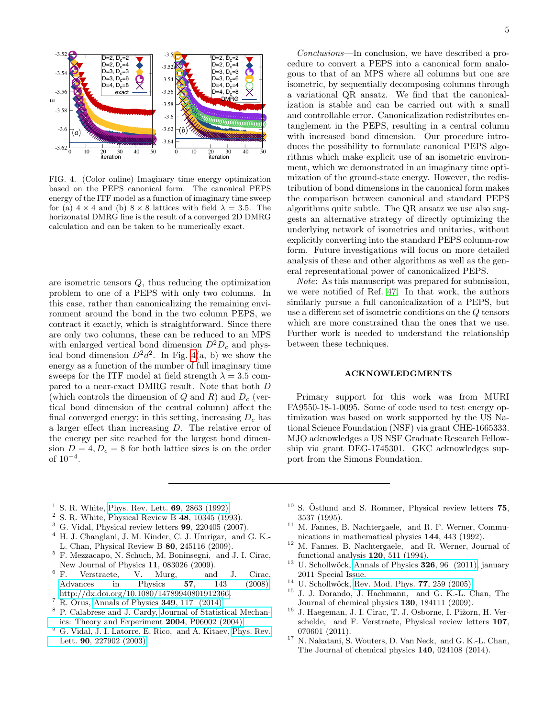

<span id="page-4-11"></span>FIG. 4. (Color online) Imaginary time energy optimization based on the PEPS canonical form. The canonical PEPS energy of the ITF model as a function of imaginary time sweep for (a)  $4 \times 4$  and (b)  $8 \times 8$  lattices with field  $\lambda = 3.5$ . The horizonatal DMRG line is the result of a converged 2D DMRG calculation and can be taken to be numerically exact.

are isometric tensors Q, thus reducing the optimization problem to one of a PEPS with only two columns. In this case, rather than canonicalizing the remaining environment around the bond in the two column PEPS, we contract it exactly, which is straightforward. Since there are only two columns, these can be reduced to an MPS with enlarged vertical bond dimension  $D^2D_c$  and physical bond dimension  $D^2 d^2$ . In Fig. [4\(](#page-4-11)a, b) we show the energy as a function of the number of full imaginary time sweeps for the ITF model at field strength  $\lambda = 3.5$  compared to a near-exact DMRG result. Note that both D (which controls the dimension of Q and R) and  $D_c$  (vertical bond dimension of the central column) affect the final converged energy; in this setting, increasing  $D<sub>c</sub>$  has a larger effect than increasing D. The relative error of the energy per site reached for the largest bond dimension  $D = 4, D<sub>c</sub> = 8$  for both lattice sizes is on the order of 10<sup>−</sup><sup>4</sup> .

Conclusions—In conclusion, we have described a procedure to convert a PEPS into a canonical form analogous to that of an MPS where all columns but one are isometric, by sequentially decomposing columns through a variational QR ansatz. We find that the canonicalization is stable and can be carried out with a small and controllable error. Canonicalization redistributes entanglement in the PEPS, resulting in a central column with increased bond dimension. Our procedure introduces the possibility to formulate canonical PEPS algorithms which make explicit use of an isometric environment, which we demonstrated in an imaginary time optimization of the ground-state energy. However, the redistribution of bond dimensions in the canonical form makes the comparison between canonical and standard PEPS algorithms quite subtle. The QR ansatz we use also suggests an alternative strategy of directly optimizing the underlying network of isometries and unitaries, without explicitly converting into the standard PEPS column-row form. Future investigations will focus on more detailed analysis of these and other algorithms as well as the general representational power of canonicalized PEPS.

Note: As this manuscript was prepared for submission, we were notified of Ref. [47.](#page-5-22) In that work, the authors similarly pursue a full canonicalization of a PEPS, but use a different set of isometric conditions on the Q tensors which are more constrained than the ones that we use. Further work is needed to understand the relationship between these techniques.

## ACKNOWLEDGMENTS

Primary support for this work was from MURI FA9550-18-1-0095. Some of code used to test energy optimization was based on work supported by the US National Science Foundation (NSF) via grant CHE-1665333. MJO acknowledges a US NSF Graduate Research Fellowship via grant DEG-1745301. GKC acknowledges support from the Simons Foundation.

- <span id="page-4-0"></span><sup>1</sup> S. R. White, [Phys. Rev. Lett.](http://dx.doi.org/10.1103/PhysRevLett.69.2863)  $69, 2863$  (1992).
- <span id="page-4-8"></span> $2$  S. R. White, Physical Review B 48, 10345 (1993).
- $3$  G. Vidal, Physical review letters  $99$ ,  $220405$   $(2007)$ .
- <sup>4</sup> H. J. Changlani, J. M. Kinder, C. J. Umrigar, and G. K.- L. Chan, Physical Review B 80, 245116 (2009).
- <span id="page-4-1"></span><sup>5</sup> F. Mezzacapo, N. Schuch, M. Boninsegni, and J. I. Cirac, New Journal of Physics 11, 083026 (2009).<br><sup>6</sup> F. Verstraete, V. Murg, and
- <span id="page-4-2"></span>Verstraete, V. Murg, and J. Cirac, [Advances in Physics](http://dx.doi.org/10.1080/14789940801912366) 57, 143 (2008), [http://dx.doi.org/10.1080/14789940801912366.](http://arxiv.org/abs/http://dx.doi.org/10.1080/14789940801912366)
- <span id="page-4-3"></span><sup>7</sup> R. Orus, [Annals of Physics](http://dx.doi.org/https://doi.org/10.1016/j.aop.2014.06.013) 349, 117 (2014).
- <span id="page-4-4"></span><sup>8</sup> P. Calabrese and J. Cardy, [Journal of Statistical Mechan](http://stacks.iop.org/1742-5468/2004/i=06/a=P06002)[ics: Theory and Experiment](http://stacks.iop.org/1742-5468/2004/i=06/a=P06002) 2004, P06002 (2004).
- <span id="page-4-5"></span><sup>9</sup> G. Vidal, J. I. Latorre, E. Rico, and A. Kitaev, [Phys. Rev.](http://dx.doi.org/ 10.1103/PhysRevLett.90.227902) Lett. 90[, 227902 \(2003\).](http://dx.doi.org/ 10.1103/PhysRevLett.90.227902)
- <span id="page-4-6"></span> $10$  S. Östlund and S. Rommer, Physical review letters 75, 3537 (1995).
- <sup>11</sup> M. Fannes, B. Nachtergaele, and R. F. Werner, Communications in mathematical physics 144, 443 (1992).
- <sup>12</sup> M. Fannes, B. Nachtergaele, and R. Werner, Journal of functional analysis 120, 511 (1994).
- <span id="page-4-7"></span><sup>13</sup> U. Schollwöck, [Annals of Physics](http://dx.doi.org/https://doi.org/10.1016/j.aop.2010.09.012)  $326$ , 96 (2011), january 2011 Special Issue.
- <span id="page-4-9"></span><sup>14</sup> U. Schollwöck, [Rev. Mod. Phys.](http://dx.doi.org/10.1103/RevModPhys.77.259) **77**, 259 (2005).
- <span id="page-4-10"></span><sup>15</sup> J. J. Dorando, J. Hachmann, and G. K.-L. Chan, The Journal of chemical physics 130, 184111 (2009).
- <sup>16</sup> J. Haegeman, J. I. Cirac, T. J. Osborne, I. Pižorn, H. Verschelde, and F. Verstraete, Physical review letters 107, 070601 (2011).
- <sup>17</sup> N. Nakatani, S. Wouters, D. Van Neck, and G. K.-L. Chan, The Journal of chemical physics 140, 024108 (2014).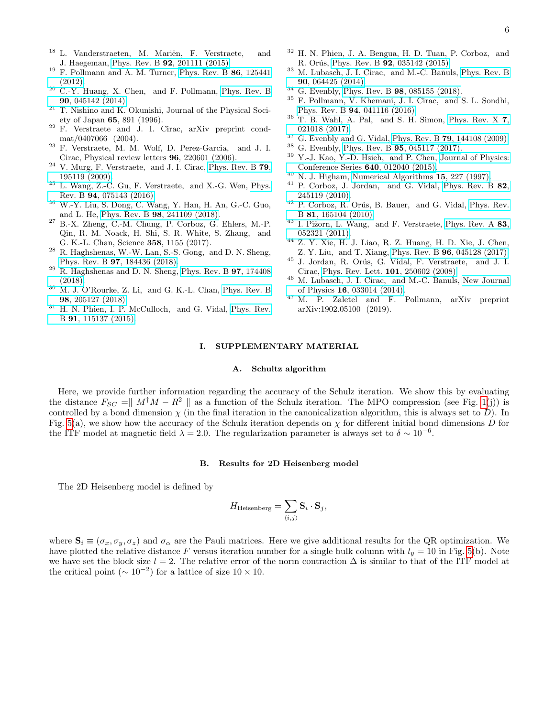- <span id="page-5-0"></span><sup>18</sup> L. Vanderstraeten, M. Mariën, F. Verstraete, and J. Haegeman, Phys. Rev. B 92[, 201111 \(2015\).](http://dx.doi.org/10.1103/PhysRevB.92.201111)
- <span id="page-5-1"></span> $19$  F. Pollmann and A. M. Turner, [Phys. Rev. B](http://dx.doi.org/10.1103/PhysRevB.86.125441)  $86$ , 125441 [\(2012\).](http://dx.doi.org/10.1103/PhysRevB.86.125441)
- <span id="page-5-2"></span><sup>20</sup> C.-Y. Huang, X. Chen, and F. Pollmann, [Phys. Rev. B](http://dx.doi.org/10.1103/PhysRevB.90.045142) 90[, 045142 \(2014\).](http://dx.doi.org/10.1103/PhysRevB.90.045142)
- <span id="page-5-3"></span> $21$  T. Nishino and K. Okunishi, Journal of the Physical Society of Japan 65, 891 (1996).
- <span id="page-5-20"></span> $22$  F. Verstraete and J. I. Cirac, arXiv preprint condmat/0407066 (2004).
- <span id="page-5-4"></span><sup>23</sup> F. Verstraete, M. M. Wolf, D. Perez-Garcia, and J. I. Cirac, Physical review letters 96, 220601 (2006).
- <span id="page-5-5"></span> $24$  V. Murg, F. Verstraete, and J. I. Cirac, [Phys. Rev. B](http://dx.doi.org/10.1103/PhysRevB.79.195119) 79, [195119 \(2009\).](http://dx.doi.org/10.1103/PhysRevB.79.195119)
- <sup>25</sup> L. Wang, Z.-C. Gu, F. Verstraete, and X.-G. Wen, [Phys.](http://dx.doi.org/10.1103/PhysRevB.94.075143) Rev. B 94[, 075143 \(2016\).](http://dx.doi.org/10.1103/PhysRevB.94.075143)
- <sup>26</sup> W.-Y. Liu, S. Dong, C. Wang, Y. Han, H. An, G.-C. Guo, and L. He, Phys. Rev. B 98[, 241109 \(2018\).](http://dx.doi.org/10.1103/PhysRevB.98.241109)
- <sup>27</sup> B.-X. Zheng, C.-M. Chung, P. Corboz, G. Ehlers, M.-P. Qin, R. M. Noack, H. Shi, S. R. White, S. Zhang, and G. K.-L. Chan, Science 358, 1155 (2017).
- $^{28}\,$  R. Haghshenas, W.-W. Lan, S.-S. Gong,  $% ^{28}\,$  and D. N. Sheng, Phys. Rev. B 97[, 184436 \(2018\).](http://dx.doi.org/10.1103/PhysRevB.97.184436)
- $^{29}$  R. Haghshenas and D. N. Sheng, [Phys. Rev. B](http://dx.doi.org/10.1103/PhysRevB.97.174408) **97**, 174408 [\(2018\).](http://dx.doi.org/10.1103/PhysRevB.97.174408)
- <span id="page-5-6"></span> $30$  M. J. O'Rourke, Z. Li, and G. K.-L. Chan, [Phys. Rev. B](http://dx.doi.org/10.1103/PhysRevB.98.205127) 98[, 205127 \(2018\).](http://dx.doi.org/10.1103/PhysRevB.98.205127)
- <span id="page-5-7"></span> $31$  H. N. Phien, I. P. McCulloch, and G. Vidal, [Phys. Rev.](http://dx.doi.org/10.1103/PhysRevB.91.115137) B 91[, 115137 \(2015\).](http://dx.doi.org/10.1103/PhysRevB.91.115137)
- <sup>32</sup> H. N. Phien, J. A. Bengua, H. D. Tuan, P. Corboz, and R. Orús, Phys. Rev. B 92[, 035142 \(2015\).](http://dx.doi.org/ 10.1103/PhysRevB.92.035142)
- <span id="page-5-14"></span><sup>33</sup> M. Lubasch, J. I. Cirac, and M.-C. Bañuls, [Phys. Rev. B](http://dx.doi.org/10.1103/PhysRevB.90.064425) 90[, 064425 \(2014\).](http://dx.doi.org/10.1103/PhysRevB.90.064425)
- <span id="page-5-8"></span> $34$  G. Evenbly, Phys. Rev. B **98**[, 085155 \(2018\).](http://dx.doi.org/10.1103/PhysRevB.98.085155)
- <span id="page-5-9"></span><sup>35</sup> F. Pollmann, V. Khemani, J. I. Cirac, and S. L. Sondhi, Phys. Rev. B 94[, 041116 \(2016\).](http://dx.doi.org/10.1103/PhysRevB.94.041116)
- <span id="page-5-10"></span> $36$  T. B. Wahl, A. Pal, and S. H. Simon, [Phys. Rev. X](http://dx.doi.org/10.1103/PhysRevX.7.021018) 7, [021018 \(2017\).](http://dx.doi.org/10.1103/PhysRevX.7.021018)
- <span id="page-5-11"></span> $37$  G. Evenbly and G. Vidal, Phys. Rev. B 79[, 144108 \(2009\).](http://dx.doi.org/10.1103/PhysRevB.79.144108)
- <sup>38</sup> G. Evenbly, Phys. Rev. B  $95, 045117$  (2017).<br><sup>39</sup> V. J. Kee, V. D. Heich, and B. Chan, Journal
- <span id="page-5-12"></span>Y.-J. Kao, Y.-D. Hsieh, and P. Chen, [Journal of Physics:](http://stacks.iop.org/1742-6596/640/i=1/a=012040) [Conference Series](http://stacks.iop.org/1742-6596/640/i=1/a=012040) 640, 012040 (2015).
- <span id="page-5-13"></span> $40$  N. J. Higham, [Numerical Algorithms](http://dx.doi.org/10.1023/A:1019150005407) 15, 227 (1997).
- <span id="page-5-15"></span><sup>41</sup> P. Corboz, J. Jordan, and G. Vidal, [Phys. Rev. B](http://dx.doi.org/10.1103/PhysRevB.82.245119) 82, [245119 \(2010\).](http://dx.doi.org/10.1103/PhysRevB.82.245119)
- <span id="page-5-16"></span><sup>42</sup> P. Corboz, R. Orús, B. Bauer, and G. Vidal, [Phys. Rev.](http://dx.doi.org/ 10.1103/PhysRevB.81.165104) B 81[, 165104 \(2010\).](http://dx.doi.org/ 10.1103/PhysRevB.81.165104)
- <span id="page-5-17"></span> $43$  I. Pižorn, L. Wang, and F. Verstraete, [Phys. Rev. A](http://dx.doi.org/ 10.1103/PhysRevA.83.052321) 83, [052321 \(2011\).](http://dx.doi.org/ 10.1103/PhysRevA.83.052321)
- <span id="page-5-18"></span><sup>44</sup> Z. Y. Xie, H. J. Liao, R. Z. Huang, H. D. Xie, J. Chen, Z. Y. Liu, and T. Xiang, Phys. Rev. B 96[, 045128 \(2017\).](http://dx.doi.org/10.1103/PhysRevB.96.045128)
- <span id="page-5-19"></span> $45$  J. Jordan, R. Orús, G. Vidal, F. Verstraete, and J. I. Cirac, [Phys. Rev. Lett.](http://dx.doi.org/ 10.1103/PhysRevLett.101.250602) 101, 250602 (2008).
- <span id="page-5-21"></span><sup>46</sup> M. Lubasch, J. I. Cirac, and M.-C. Banuls, [New Journal](http://stacks.iop.org/1367-2630/16/i=3/a=033014) of Physics 16[, 033014 \(2014\).](http://stacks.iop.org/1367-2630/16/i=3/a=033014)
- <span id="page-5-22"></span><sup>47</sup> M. P. Zaletel and F. Pollmann, arXiv preprint arXiv:1902.05100 (2019).

#### I. SUPPLEMENTARY MATERIAL

# A. Schultz algorithm

Here, we provide further information regarding the accuracy of the Schulz iteration. We show this by evaluating the distance  $F_{SC} = ||M^{\dagger}M - R^2||$  as a function of the Schulz iteration. The MPO compression (see Fig. [1\(](#page-1-0)j)) is controlled by a bond dimension  $\chi$  (in the final iteration in the canonicalization algorithm, this is always set to D). In Fig. [5\(](#page-6-0)a), we show how the accuracy of the Schulz iteration depends on  $\chi$  for different initial bond dimensions D for the ITF model at magnetic field  $\lambda = 2.0$ . The regularization parameter is always set to  $\delta \sim 10^{-6}$ .

## B. Results for 2D Heisenberg model

The 2D Heisenberg model is defined by

$$
H_{\text{Heisenberg}} = \sum_{\langle i,j \rangle} \mathbf{S}_i \cdot \mathbf{S}_j,
$$

where  $S_i \equiv (\sigma_x, \sigma_y, \sigma_z)$  and  $\sigma_\alpha$  are the Pauli matrices. Here we give additional results for the QR optimization. We have plotted the relative distance F versus iteration number for a single bulk column with  $l_y = 10$  in Fig. [5\(](#page-6-0)b). Note we have set the block size  $l = 2$ . The relative error of the norm contraction  $\Delta$  is similar to that of the ITF model at the critical point ( $\sim 10^{-2}$ ) for a lattice of size  $10 \times 10$ .